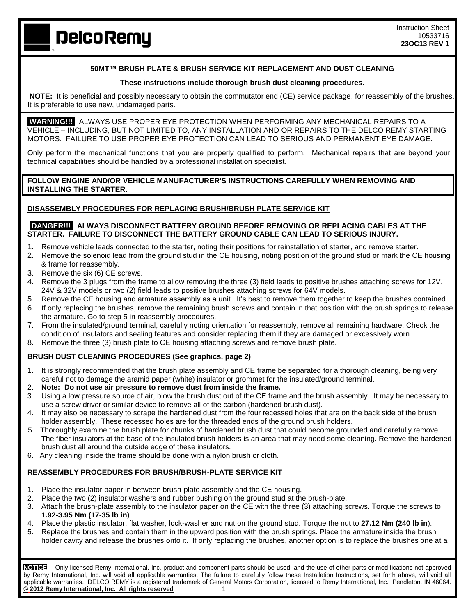# **50MT™ BRUSH PLATE & BRUSH SERVICE KIT REPLACEMENT AND DUST CLEANING**

#### **These instructions include thorough brush dust cleaning procedures.**

**NOTE:** It is beneficial and possibly necessary to obtain the commutator end (CE) service package, for reassembly of the brushes. It is preferable to use new, undamaged parts.

 **WARNING!!!** ALWAYS USE PROPER EYE PROTECTION WHEN PERFORMING ANY MECHANICAL REPAIRS TO A VEHICLE – INCLUDING, BUT NOT LIMITED TO, ANY INSTALLATION AND OR REPAIRS TO THE DELCO REMY STARTING MOTORS. FAILURE TO USE PROPER EYE PROTECTION CAN LEAD TO SERIOUS AND PERMANENT EYE DAMAGE.

Only perform the mechanical functions that you are properly qualified to perform. Mechanical repairs that are beyond your technical capabilities should be handled by a professional installation specialist.

**FOLLOW ENGINE AND/OR VEHICLE MANUFACTURER'S INSTRUCTIONS CAREFULLY WHEN REMOVING AND INSTALLING THE STARTER.**

## **DISASSEMBLY PROCEDURES FOR REPLACING BRUSH/BRUSH PLATE SERVICE KIT**

## **DANGER!!! ALWAYS DISCONNECT BATTERY GROUND BEFORE REMOVING OR REPLACING CABLES AT THE STARTER. FAILURE TO DISCONNECT THE BATTERY GROUND CABLE CAN LEAD TO SERIOUS INJURY.**

- 1. Remove vehicle leads connected to the starter, noting their positions for reinstallation of starter, and remove starter.
- 2. Remove the solenoid lead from the ground stud in the CE housing, noting position of the ground stud or mark the CE housing & frame for reassembly.
- 3. Remove the six (6) CE screws.
- 4. Remove the 3 plugs from the frame to allow removing the three (3) field leads to positive brushes attaching screws for 12V, 24V & 32V models or two (2) field leads to positive brushes attaching screws for 64V models.
- 5. Remove the CE housing and armature assembly as a unit. It's best to remove them together to keep the brushes contained.
- 6. If only replacing the brushes, remove the remaining brush screws and contain in that position with the brush springs to release the armature. Go to step 5 in reassembly procedures.
- 7. From the insulated/ground terminal, carefully noting orientation for reassembly, remove all remaining hardware. Check the condition of insulators and sealing features and consider replacing them if they are damaged or excessively worn.
- 8. Remove the three (3) brush plate to CE housing attaching screws and remove brush plate.

## **BRUSH DUST CLEANING PROCEDURES (See graphics, page 2)**

- 1. It is strongly recommended that the brush plate assembly and CE frame be separated for a thorough cleaning, being very careful not to damage the aramid paper (white) insulator or grommet for the insulated/ground terminal.
- 2. **Note: Do not use air pressure to remove dust from inside the frame.**
- 3. Using a low pressure source of air, blow the brush dust out of the CE frame and the brush assembly. It may be necessary to use a screw driver or similar device to remove all of the carbon (hardened brush dust).
- 4. It may also be necessary to scrape the hardened dust from the four recessed holes that are on the back side of the brush holder assembly. These recessed holes are for the threaded ends of the ground brush holders.
- 5. Thoroughly examine the brush plate for chunks of hardened brush dust that could become grounded and carefully remove. The fiber insulators at the base of the insulated brush holders is an area that may need some cleaning. Remove the hardened brush dust all around the outside edge of these insulators.
- 6. Any cleaning inside the frame should be done with a nylon brush or cloth.

## **REASSEMBLY PROCEDURES FOR BRUSH/BRUSH-PLATE SERVICE KIT**

- 1. Place the insulator paper in between brush-plate assembly and the CE housing.
- 2. Place the two (2) insulator washers and rubber bushing on the ground stud at the brush-plate.
- 3. Attach the brush-plate assembly to the insulator paper on the CE with the three (3) attaching screws. Torque the screws to **1.92-3.95 Nm (17-35 lb in**).
- 4. Place the plastic insulator, flat washer, lock-washer and nut on the ground stud. Torque the nut to **27.12 Nm (240 lb in**).
- 5. Replace the brushes and contain them in the upward position with the brush springs. Place the armature inside the brush holder cavity and release the brushes onto it. If only replacing the brushes, another option is to replace the brushes one at a

**NOTICE -** Only licensed Remy International, Inc. product and component parts should be used, and the use of other parts or modifications not approved by Remy International, Inc. will void all applicable warranties. The failure to carefully follow these Installation Instructions, set forth above, will void all applicable warranties. DELCO REMY is a registered trademark of General Motors Corporation, licensed to Remy International, Inc. Pendleton, IN 46064. **© 2012 Remy International, Inc. All rights reserved** 1